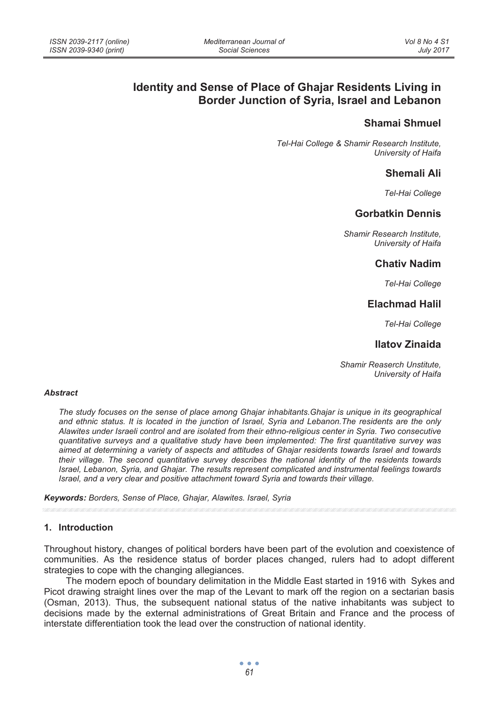# **Identity and Sense of Place of Ghajar Residents Living in Border Junction of Syria, Israel and Lebanon**

## **Shamai Shmuel**

*Tel-Hai College & Shamir Research Institute, University of Haifa* 

### **Shemali Ali**

*Tel-Hai College* 

## **Gorbatkin Dennis**

*Shamir Research Institute, University of Haifa* 

### **Chativ Nadim**

*Tel-Hai College* 

## **Elachmad Halil**

*Tel-Hai College* 

## **Ilatov Zinaida**

*Shamir Reaserch Unstitute, University of Haifa*

#### *Abstract*

*The study focuses on the sense of place among Ghajar inhabitants.Ghajar is unique in its geographical and ethnic status. It is located in the junction of Israel, Syria and Lebanon.The residents are the only Alawites under Israeli control and are isolated from their ethno-religious center in Syria. Two consecutive quantitative surveys and a qualitative study have been implemented: The first quantitative survey was aimed at determining a variety of aspects and attitudes of Ghajar residents towards Israel and towards their village. The second quantitative survey describes the national identity of the residents towards Israel, Lebanon, Syria, and Ghajar. The results represent complicated and instrumental feelings towards Israel, and a very clear and positive attachment toward Syria and towards their village.* 

*Keywords: Borders, Sense of Place, Ghajar, Alawites. Israel, Syria* 

#### **1. Introduction**

Throughout history, changes of political borders have been part of the evolution and coexistence of communities. As the residence status of border places changed, rulers had to adopt different strategies to cope with the changing allegiances.

The modern epoch of boundary delimitation in the Middle East started in 1916 with Sykes and Picot drawing straight lines over the map of the Levant to mark off the region on a sectarian basis (Osman, 2013). Thus, the subsequent national status of the native inhabitants was subject to decisions made by the external administrations of Great Britain and France and the process of interstate differentiation took the lead over the construction of national identity.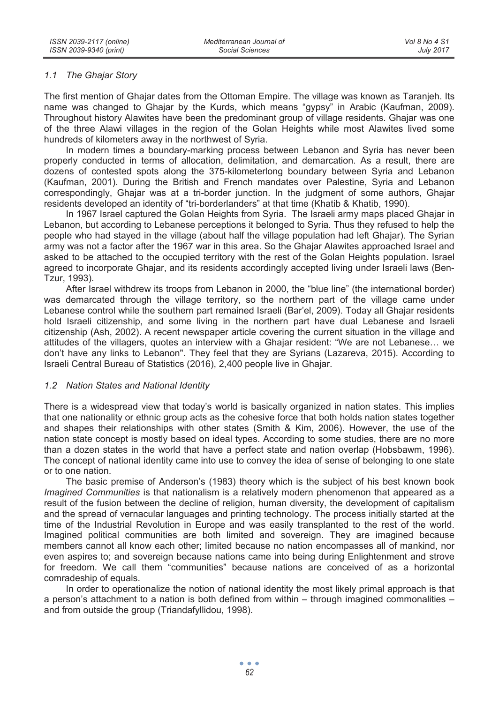#### *1.1 The Ghajar Story*

The first mention of Ghajar dates from the Ottoman Empire. The village was known as Taranjeh. Its name was changed to Ghajar by the Kurds, which means "gypsy" in Arabic (Kaufman, 2009). Throughout history Alawites have been the predominant group of village residents. Ghajar was one of the three Alawi villages in the region of the Golan Heights while most Alawites lived some hundreds of kilometers away in the northwest of Syria.

In modern times a boundary-marking process between Lebanon and Syria has never been properly conducted in terms of allocation, delimitation, and demarcation. As a result, there are dozens of contested spots along the 375-kilometerlong boundary between Syria and Lebanon (Kaufman, 2001). During the British and French mandates over Palestine, Syria and Lebanon correspondingly, Ghajar was at a tri-border junction. In the judgment of some authors, Ghajar residents developed an identity of "tri-borderlanders" at that time (Khatib & Khatib, 1990).

In 1967 Israel captured the Golan Heights from Syria. The Israeli army maps placed Ghajar in Lebanon, but according to Lebanese perceptions it belonged to Syria. Thus they refused to help the people who had stayed in the village (about half the village population had left Ghajar). The Syrian army was not a factor after the 1967 war in this area. So the Ghajar Alawites approached Israel and asked to be attached to the occupied territory with the rest of the Golan Heights population. Israel agreed to incorporate Ghajar, and its residents accordingly accepted living under Israeli laws (Ben-Tzur, 1993).

After Israel withdrew its troops from Lebanon in 2000, the "blue line" (the international border) was demarcated through the village territory, so the northern part of the village came under Lebanese control while the southern part remained Israeli (Bar'el, 2009). Today all Ghajar residents hold Israeli citizenship, and some living in the northern part have dual Lebanese and Israeli citizenship (Ash, 2002). A recent newspaper article covering the current situation in the village and attitudes of the villagers, quotes an interview with a Ghajar resident: "We are not Lebanese… we don't have any links to Lebanon". They feel that they are Syrians (Lazareva, 2015). According to Israeli Central Bureau of Statistics (2016), 2,400 people live in Ghajar.

### *1.2 Nation States and National Identity*

There is a widespread view that today's world is basically organized in nation states. This implies that one nationality or ethnic group acts as the cohesive force that both holds nation states together and shapes their relationships with other states (Smith & Kim, 2006). However, the use of the nation state concept is mostly based on ideal types. According to some studies, there are no more than a dozen states in the world that have a perfect state and nation overlap (Hobsbawm, 1996). The concept of national identity came into use to convey the idea of sense of belonging to one state or to one nation.

The basic premise of Anderson's (1983) theory which is the subject of his best known book *Imagined Communities* is that nationalism is a relatively modern phenomenon that appeared as a result of the fusion between the decline of religion, human diversity, the development of capitalism and the spread of vernacular languages and printing technology. The process initially started at the time of the Industrial Revolution in Europe and was easily transplanted to the rest of the world. Imagined political communities are both limited and sovereign. They are imagined because members cannot all know each other; limited because no nation encompasses all of mankind, nor even aspires to; and sovereign because nations came into being during Enlightenment and strove for freedom. We call them "communities" because nations are conceived of as a horizontal comradeship of equals.

In order to operationalize the notion of national identity the most likely primal approach is that a person's attachment to a nation is both defined from within – through imagined commonalities – and from outside the group (Triandafyllidou, 1998).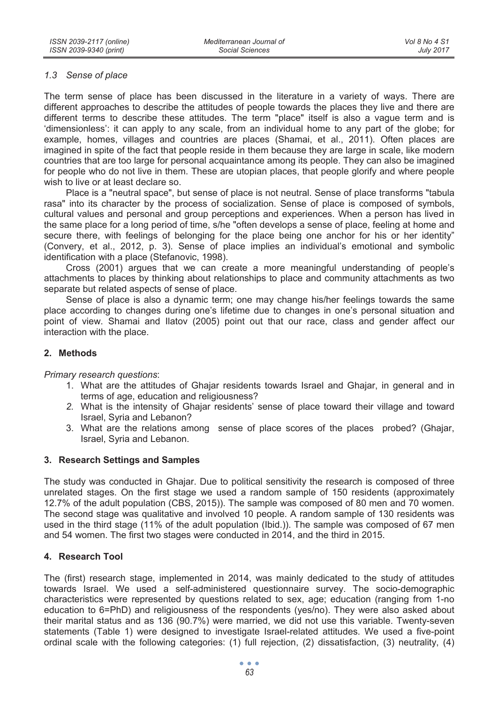#### *1.3 Sense of place*

The term sense of place has been discussed in the literature in a variety of ways. There are different approaches to describe the attitudes of people towards the places they live and there are different terms to describe these attitudes. The term "place" itself is also a vague term and is 'dimensionless': it can apply to any scale, from an individual home to any part of the globe; for example, homes, villages and countries are places (Shamai, et al., 2011). Often places are imagined in spite of the fact that people reside in them because they are large in scale, like modern countries that are too large for personal acquaintance among its people. They can also be imagined for people who do not live in them. These are utopian places, that people glorify and where people wish to live or at least declare so.

Place is a "neutral space", but sense of place is not neutral. Sense of place transforms "tabula rasa" into its character by the process of socialization. Sense of place is composed of symbols, cultural values and personal and group perceptions and experiences. When a person has lived in the same place for a long period of time, s/he "often develops a sense of place, feeling at home and secure there, with feelings of belonging for the place being one anchor for his or her identity" (Convery, et al., 2012, p. 3). Sense of place implies an individual's emotional and symbolic identification with a place (Stefanovic, 1998).

Cross (2001) argues that we can create a more meaningful understanding of people's attachments to places by thinking about relationships to place and community attachments as two separate but related aspects of sense of place.

Sense of place is also a dynamic term; one may change his/her feelings towards the same place according to changes during one's lifetime due to changes in one's personal situation and point of view. Shamai and Ilatov (2005) point out that our race, class and gender affect our interaction with the place.

### **2. Methods**

*Primary research questions*:

- 1. What are the attitudes of Ghajar residents towards Israel and Ghajar, in general and in terms of age, education and religiousness?
- *2.* What is the intensity of Ghajar residents' sense of place toward their village and toward Israel, Syria and Lebanon?
- 3. What are the relations among sense of place scores of the places probed? (Ghajar, Israel, Syria and Lebanon.

#### **3. Research Settings and Samples**

The study was conducted in Ghajar. Due to political sensitivity the research is composed of three unrelated stages. On the first stage we used a random sample of 150 residents (approximately 12.7% of the adult population (CBS, 2015)). The sample was composed of 80 men and 70 women. The second stage was qualitative and involved 10 people. A random sample of 130 residents was used in the third stage (11% of the adult population (Ibid.)). The sample was composed of 67 men and 54 women. The first two stages were conducted in 2014, and the third in 2015.

### **4. Research Tool**

The (first) research stage, implemented in 2014, was mainly dedicated to the study of attitudes towards Israel. We used a self-administered questionnaire survey. The socio-demographic characteristics were represented by questions related to sex, age; education (ranging from 1-no education to 6=PhD) and religiousness of the respondents (yes/no). They were also asked about their marital status and as 136 (90.7%) were married, we did not use this variable. Twenty-seven statements (Table 1) were designed to investigate Israel-related attitudes. We used a five-point ordinal scale with the following categories: (1) full rejection, (2) dissatisfaction, (3) neutrality, (4)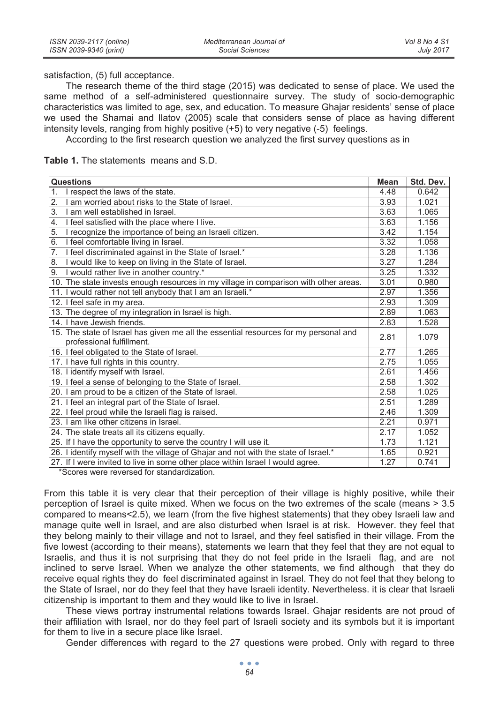satisfaction, (5) full acceptance.

The research theme of the third stage (2015) was dedicated to sense of place. We used the same method of a self-administered questionnaire survey. The study of socio-demographic characteristics was limited to age, sex, and education. To measure Ghajar residents' sense of place we used the Shamai and Ilatov (2005) scale that considers sense of place as having different intensity levels, ranging from highly positive (+5) to very negative (-5) feelings.

According to the first research question we analyzed the first survey questions as in

**Table 1.** The statements means and S.D.

| Questions                                                                            | Mean | Std. Dev. |
|--------------------------------------------------------------------------------------|------|-----------|
| I respect the laws of the state.<br>$\mathbf 1$                                      | 4.48 | 0.642     |
| 2.<br>I am worried about risks to the State of Israel.                               | 3.93 | 1.021     |
| 3.<br>I am well established in Israel.                                               | 3.63 | 1.065     |
| $\overline{4}$ .<br>I feel satisfied with the place where I live.                    | 3.63 | 1.156     |
| 5.<br>I recognize the importance of being an Israeli citizen.                        | 3.42 | 1.154     |
| 6.<br>I feel comfortable living in Israel.                                           | 3.32 | 1.058     |
| I feel discriminated against in the State of Israel.*<br>7.                          | 3.28 | 1.136     |
| I would like to keep on living in the State of Israel.<br>8.                         | 3.27 | 1.284     |
| I would rather live in another country.*<br>9.                                       | 3.25 | 1.332     |
| 10. The state invests enough resources in my village in comparison with other areas. | 3.01 | 0.980     |
| 11. I would rather not tell anybody that I am an Israeli.*                           | 2.97 | 1.356     |
| 12. I feel safe in my area.                                                          | 2.93 | 1.309     |
| 13. The degree of my integration in Israel is high.                                  | 2.89 | 1.063     |
| 14. I have Jewish friends.                                                           | 2.83 | 1.528     |
| 15. The state of Israel has given me all the essential resources for my personal and | 2.81 | 1.079     |
| professional fulfillment.                                                            |      |           |
| 16. I feel obligated to the State of Israel.                                         | 2.77 | 1.265     |
| 17. I have full rights in this country.                                              | 2.75 | 1.055     |
| 18. I identify myself with Israel.                                                   | 2.61 | 1.456     |
| 19. I feel a sense of belonging to the State of Israel.                              | 2.58 | 1.302     |
| 20. I am proud to be a citizen of the State of Israel.                               | 2.58 | 1.025     |
| 21. I feel an integral part of the State of Israel.                                  | 2.51 | 1.289     |
| 22. I feel proud while the Israeli flag is raised.                                   | 2.46 | 1.309     |
| 23. I am like other citizens in Israel.                                              | 2.21 | 0.971     |
| 24. The state treats all its citizens equally.                                       | 2.17 | 1.052     |
| 25. If I have the opportunity to serve the country I will use it.                    | 1.73 | 1.121     |
| 26. I identify myself with the village of Ghajar and not with the state of Israel.*  | 1.65 | 0.921     |
| 27. If I were invited to live in some other place within Israel I would agree.       | 1.27 | 0.741     |

\*Scores were reversed for standardization.

From this table it is very clear that their perception of their village is highly positive, while their perception of Israel is quite mixed. When we focus on the two extremes of the scale (means > 3.5 compared to means<2.5), we learn (from the five highest statements) that they obey Israeli law and manage quite well in Israel, and are also disturbed when Israel is at risk. However. they feel that they belong mainly to their village and not to Israel, and they feel satisfied in their village. From the five lowest (according to their means), statements we learn that they feel that they are not equal to Israelis, and thus it is not surprising that they do not feel pride in the Israeli flag, and are not inclined to serve Israel. When we analyze the other statements, we find although that they do receive equal rights they do feel discriminated against in Israel. They do not feel that they belong to the State of Israel, nor do they feel that they have Israeli identity. Nevertheless. it is clear that Israeli citizenship is important to them and they would like to live in Israel.

These views portray instrumental relations towards Israel. Ghajar residents are not proud of their affiliation with Israel, nor do they feel part of Israeli society and its symbols but it is important for them to live in a secure place like Israel.

Gender differences with regard to the 27 questions were probed. Only with regard to three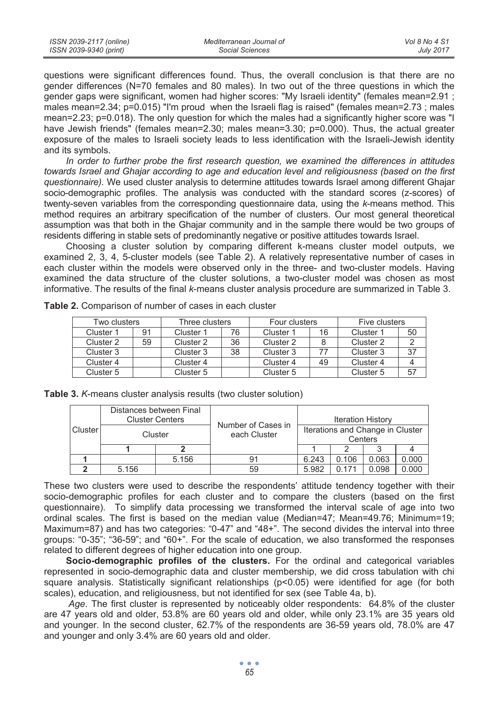| ISSN 2039-2117 (online) | Mediterranean Journal of | Vol 8 No 4 S1    |
|-------------------------|--------------------------|------------------|
| ISSN 2039-9340 (print)  | Social Sciences          | <b>July 2017</b> |

questions were significant differences found. Thus, the overall conclusion is that there are no gender differences (N=70 females and 80 males). In two out of the three questions in which the gender gaps were significant, women had higher scores: "My Israeli identity" (females mean=2.91 ; males mean=2.34; p=0.015) "I'm proud when the Israeli flag is raised" (females mean=2.73 ; males mean=2.23; p=0.018). The only question for which the males had a significantly higher score was "I have Jewish friends" (females mean=2.30; males mean=3.30; p=0.000). Thus, the actual greater exposure of the males to Israeli society leads to less identification with the Israeli-Jewish identity and its symbols.

*In order to further probe the first research question, we examined the differences in attitudes towards Israel and Ghajar according to age and education level and religiousness (based on the first questionnaire).* We used cluster analysis to determine attitudes towards Israel among different Ghajar socio-demographic profiles. The analysis was conducted with the standard scores (z-scores) of twenty-seven variables from the corresponding questionnaire data, using the *k*-means method. This method requires an arbitrary specification of the number of clusters. Our most general theoretical assumption was that both in the Ghajar community and in the sample there would be two groups of residents differing in stable sets of predominantly negative or positive attitudes towards Israel.

Choosing a cluster solution by comparing different k-means cluster model outputs, we examined 2, 3, 4, 5-cluster models (see Table 2). A relatively representative number of cases in each cluster within the models were observed only in the three- and two-cluster models. Having examined the data structure of the cluster solutions, a two-cluster model was chosen as most informative. The results of the final *k*-means cluster analysis procedure are summarized in Table 3.

| Two clusters |    | Three clusters |    | Four clusters |    | Five clusters |    |
|--------------|----|----------------|----|---------------|----|---------------|----|
| Cluster 1    | 91 | Cluster 1      | 76 | Cluster 1     | 16 | Cluster 1     | 50 |
| Cluster 2    | 59 | Cluster 2      | 36 | Cluster 2     |    | Cluster 2     |    |
| Cluster 3    |    | Cluster 3      | 38 | Cluster 3     |    | Cluster 3     | 37 |
| Cluster 4    |    | Cluster 4      |    | Cluster 4     | 49 | Cluster 4     |    |
| Cluster 5    |    | Cluster 5      |    | Cluster 5     |    | Cluster 5     | 57 |

**Table 2.** Comparison of number of cases in each cluster

|          |         | Distances between Final<br><b>Cluster Centers</b> | Number of Cases in | <b>Iteration History</b>                    |       |       |       |
|----------|---------|---------------------------------------------------|--------------------|---------------------------------------------|-------|-------|-------|
| Clusterl | Cluster |                                                   | each Cluster       | Iterations and Change in Cluster<br>Centers |       |       |       |
|          |         |                                                   |                    |                                             |       |       |       |
|          |         | 5.156                                             | 91                 | 6.243                                       | 0.106 | 0.063 | 0.000 |
|          | 5.156   |                                                   | 59                 | 5.982                                       | 0.171 | 0.098 | 0.000 |

|  |  |  | Table 3. K-means cluster analysis results (two cluster solution) |
|--|--|--|------------------------------------------------------------------|
|--|--|--|------------------------------------------------------------------|

These two clusters were used to describe the respondents' attitude tendency together with their socio-demographic profiles for each cluster and to compare the clusters (based on the first questionnaire). To simplify data processing we transformed the interval scale of age into two ordinal scales. The first is based on the median value (Median=47; Mean=49.76; Minimum=19; Maximum=87) and has two categories: "0-47" and "48+". The second divides the interval into three groups: "0-35"; "36-59"; and "60+". For the scale of education, we also transformed the responses related to different degrees of higher education into one group.

**Socio-demographic profiles of the clusters.** For the ordinal and categorical variables represented in socio-demographic data and cluster membership, we did cross tabulation with chi square analysis. Statistically significant relationships (p<0.05) were identified for age (for both scales), education, and religiousness, but not identified for sex (see Table 4a, b).

*Age*. The first cluster is represented by noticeably older respondents: 64.8% of the cluster are 47 years old and older, 53.8% are 60 years old and older, while only 23.1% are 35 years old and younger. In the second cluster, 62.7% of the respondents are 36-59 years old, 78.0% are 47 and younger and only 3.4% are 60 years old and older.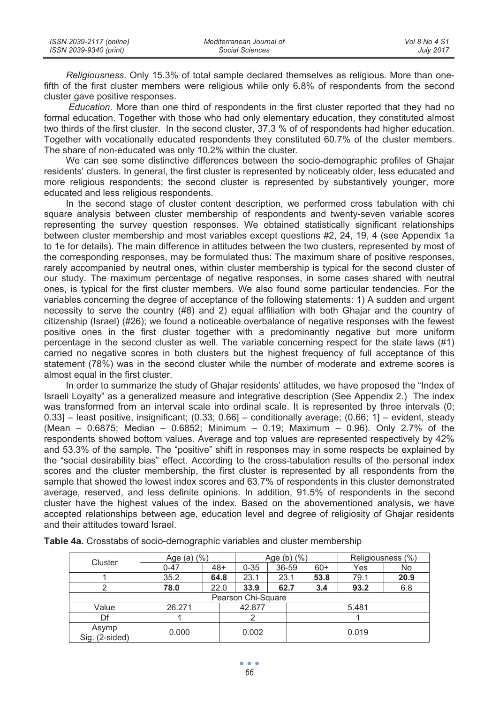| ISSN 2039-2117 (online) | Mediterranean Journal of | Vol 8 No 4 S1    |
|-------------------------|--------------------------|------------------|
| ISSN 2039-9340 (print)  | Social Sciences          | <b>July 2017</b> |

*Religiousness*. Only 15.3% of total sample declared themselves as religious. More than onefifth of the first cluster members were religious while only 6.8% of respondents from the second cluster gave positive responses.

*Education*. More than one third of respondents in the first cluster reported that they had no formal education. Together with those who had only elementary education, they constituted almost two thirds of the first cluster. In the second cluster, 37.3 % of of respondents had higher education. Together with vocationally educated respondents they constituted 60.7% of the cluster members. The share of non-educated was only 10.2% within the cluster.

We can see some distinctive differences between the socio-demographic profiles of Ghajar residents' clusters. In general, the first cluster is represented by noticeably older, less educated and more religious respondents; the second cluster is represented by substantively younger, more educated and less religious respondents.

In the second stage of cluster content description, we performed cross tabulation with chi square analysis between cluster membership of respondents and twenty-seven variable scores representing the survey question responses. We obtained statistically significant relationships between cluster membership and most variables except questions #2, 24, 19, 4 (see Appendix 1a to 1e for details). The main difference in attitudes between the two clusters, represented by most of the corresponding responses, may be formulated thus: The maximum share of positive responses, rarely accompanied by neutral ones, within cluster membership is typical for the second cluster of our study. The maximum percentage of negative responses, in some cases shared with neutral ones, is typical for the first cluster members. We also found some particular tendencies. For the variables concerning the degree of acceptance of the following statements: 1) A sudden and urgent necessity to serve the country (#8) and 2) equal affiliation with both Ghajar and the country of citizenship (Israel) (#26); we found a noticeable overbalance of negative responses with the fewest positive ones in the first cluster together with a predominantly negative but more uniform percentage in the second cluster as well. The variable concerning respect for the state laws (#1) carried no negative scores in both clusters but the highest frequency of full acceptance of this statement (78%) was in the second cluster while the number of moderate and extreme scores is almost equal in the first cluster.

In order to summarize the study of Ghajar residents' attitudes, we have proposed the "Index of Israeli Loyalty" as a generalized measure and integrative description (See Appendix 2.) The index was transformed from an interval scale into ordinal scale. It is represented by three intervals (0; 0.33] – least positive, insignificant; (0.33; 0.66] – conditionally average; (0.66; 1] – evident, steady (Mean – 0.6875; Median – 0.6852; Minimum – 0.19; Maximum – 0.96). Only 2.7% of the respondents showed bottom values. Average and top values are represented respectively by 42% and 53.3% of the sample. The "positive" shift in responses may in some respects be explained by the "social desirability bias" effect. According to the cross-tabulation results of the personal index scores and the cluster membership, the first cluster is represented by all respondents from the sample that showed the lowest index scores and 63.7% of respondents in this cluster demonstrated average, reserved, and less definite opinions. In addition, 91.5% of respondents in the second cluster have the highest values of the index. Based on the abovementioned analysis, we have accepted relationships between age, education level and degree of religiosity of Ghajar residents and their attitudes toward Israel.

| Cluster                 | Age (a) (%)             |       |                    | Age (b) $(\% )$ |  |       | Religiousness (%) |      |
|-------------------------|-------------------------|-------|--------------------|-----------------|--|-------|-------------------|------|
|                         | $0 - 47$                | $48+$ | $0 - 35$           | 36-59           |  | $60+$ | Yes               | No   |
|                         | 35.2                    | 64.8  | 23.1               | 23.1            |  | 53.8  | 79.1              | 20.9 |
|                         | 78.0                    | 22.0  | 33.9               | 62.7            |  | 3.4   | 93.2              | 6.8  |
|                         |                         |       | Pearson Chi-Square |                 |  |       |                   |      |
| Value                   | 26.271                  |       | 42.877<br>5.481    |                 |  |       |                   |      |
| Df                      |                         |       |                    |                 |  |       |                   |      |
| Asymp<br>Sig. (2-sided) | 0.000<br>0.002<br>0.019 |       |                    |                 |  |       |                   |      |

**Table 4a.** Crosstabs of socio-demographic variables and cluster membership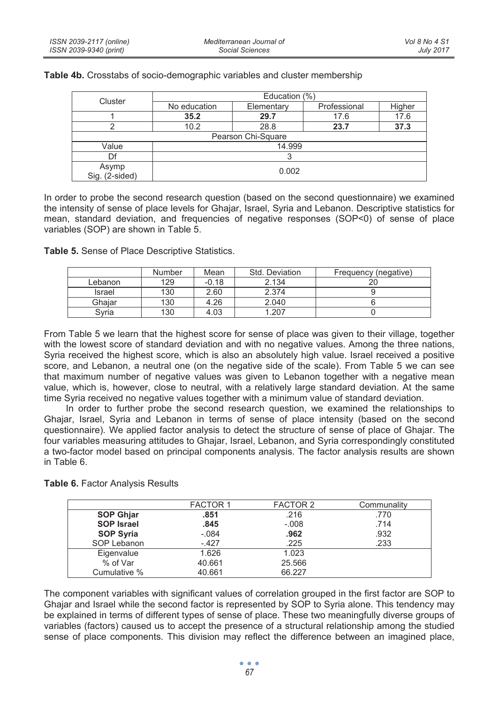| Cluster                 | Education (%) |                    |              |        |  |  |
|-------------------------|---------------|--------------------|--------------|--------|--|--|
|                         | No education  | Elementary         | Professional | Higher |  |  |
|                         | 35.2          | 29.7               | 17.6         | 17.6   |  |  |
|                         | 10.2          | 28.8               | 23.7         | 37.3   |  |  |
|                         |               | Pearson Chi-Square |              |        |  |  |
| Value                   | 14.999        |                    |              |        |  |  |
| Df                      |               |                    |              |        |  |  |
| Asymp<br>Sig. (2-sided) | 0.002         |                    |              |        |  |  |

**Table 4b.** Crosstabs of socio-demographic variables and cluster membership

In order to probe the second research question (based on the second questionnaire) we examined the intensity of sense of place levels for Ghajar, Israel, Syria and Lebanon. Descriptive statistics for mean, standard deviation, and frequencies of negative responses (SOP<0) of sense of place variables (SOP) are shown in Table 5.

**Table 5.** Sense of Place Descriptive Statistics.

|         | Number | Mean    | Std. Deviation | Frequency (negative) |
|---------|--------|---------|----------------|----------------------|
| Lebanon | 129    | $-0.18$ | 2.134          | 20                   |
| Israel  | 130    | 2.60    | 2.374          |                      |
| Ghaiar  | 130    | 4.26    | 2.040          |                      |
| Svria   | 130    | 4.03    | 1.207          |                      |

From Table 5 we learn that the highest score for sense of place was given to their village, together with the lowest score of standard deviation and with no negative values. Among the three nations, Syria received the highest score, which is also an absolutely high value. Israel received a positive score, and Lebanon, a neutral one (on the negative side of the scale). From Table 5 we can see that maximum number of negative values was given to Lebanon together with a negative mean value, which is, however, close to neutral, with a relatively large standard deviation. At the same time Syria received no negative values together with a minimum value of standard deviation.

In order to further probe the second research question, we examined the relationships to Ghajar, Israel, Syria and Lebanon in terms of sense of place intensity (based on the second questionnaire). We applied factor analysis to detect the structure of sense of place of Ghajar. The four variables measuring attitudes to Ghajar, Israel, Lebanon, and Syria correspondingly constituted a two-factor model based on principal components analysis. The factor analysis results are shown in Table 6.

|  | Table 6. Factor Analysis Results |  |
|--|----------------------------------|--|
|--|----------------------------------|--|

|                   | <b>FACTOR 1</b> | FACTOR 2 | Communality |
|-------------------|-----------------|----------|-------------|
| <b>SOP Ghjar</b>  | .851            | .216     | .770        |
| <b>SOP Israel</b> | .845            | $-.008$  | .714        |
| <b>SOP Syria</b>  | $-.084$         | .962     | .932        |
| SOP Lebanon       | $-427$          | .225     | .233        |
| Eigenvalue        | 1.626           | 1.023    |             |
| % of Var          | 40.661          | 25.566   |             |
| Cumulative %      | 40.661          | 66.227   |             |

The component variables with significant values of correlation grouped in the first factor are SOP to Ghajar and Israel while the second factor is represented by SOP to Syria alone. This tendency may be explained in terms of different types of sense of place. These two meaningfully diverse groups of variables (factors) caused us to accept the presence of a structural relationship among the studied sense of place components. This division may reflect the difference between an imagined place,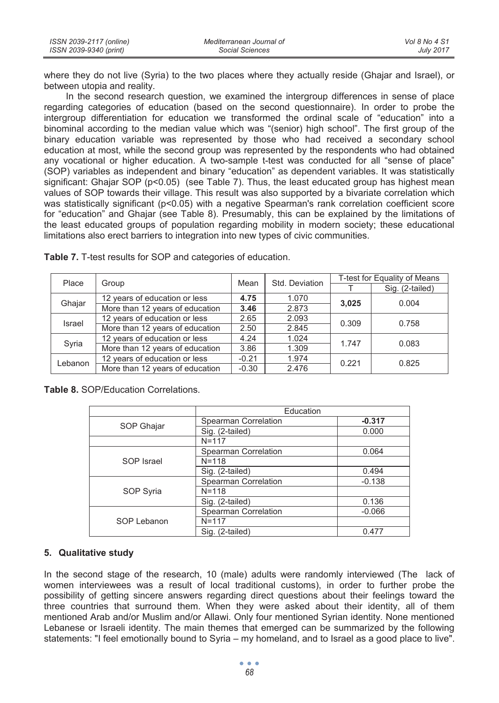| ISSN 2039-2117 (online) | Mediterranean Journal of | Vol 8 No 4 S1    |
|-------------------------|--------------------------|------------------|
| ISSN 2039-9340 (print)  | Social Sciences          | <b>July 2017</b> |

where they do not live (Syria) to the two places where they actually reside (Ghajar and Israel), or between utopia and reality.

In the second research question, we examined the intergroup differences in sense of place regarding categories of education (based on the second questionnaire). In order to probe the intergroup differentiation for education we transformed the ordinal scale of "education" into a binominal according to the median value which was "(senior) high school". The first group of the binary education variable was represented by those who had received a secondary school education at most, while the second group was represented by the respondents who had obtained any vocational or higher education. A two-sample t-test was conducted for all "sense of place" (SOP) variables as independent and binary "education" as dependent variables. It was statistically significant: Ghajar SOP ( $p$ <0.05) (see Table 7). Thus, the least educated group has highest mean values of SOP towards their village. This result was also supported by a bivariate correlation which was statistically significant (p<0.05) with a negative Spearman's rank correlation coefficient score for "education" and Ghajar (see Table 8). Presumably, this can be explained by the limitations of the least educated groups of population regarding mobility in modern society; these educational limitations also erect barriers to integration into new types of civic communities.

| Place   | Group                           | Mean    |                | T-test for Equality of Means                                                                             |                 |  |  |
|---------|---------------------------------|---------|----------------|----------------------------------------------------------------------------------------------------------|-----------------|--|--|
|         |                                 |         |                | 1.070<br>3.025<br>2.873<br>2.093<br>0.309<br>2.845<br>1.024<br>1.747<br>1.309<br>1.974<br>0.221<br>2.476 | Sig. (2-tailed) |  |  |
| Ghajar  | 12 years of education or less   | 4.75    |                |                                                                                                          | 0.004           |  |  |
|         | More than 12 years of education | 3.46    |                |                                                                                                          |                 |  |  |
| Israel  | 12 years of education or less   | 2.65    |                |                                                                                                          | 0.758           |  |  |
|         | More than 12 years of education | 2.50    |                |                                                                                                          |                 |  |  |
| Syria   | 12 years of education or less   | 4.24    |                |                                                                                                          | 0.083           |  |  |
|         | More than 12 years of education | 3.86    | Std. Deviation |                                                                                                          |                 |  |  |
| Lebanon | 12 years of education or less   | $-0.21$ |                |                                                                                                          | 0.825           |  |  |
|         | More than 12 years of education | $-0.30$ |                |                                                                                                          |                 |  |  |

**Table 7.** T-test results for SOP and categories of education.

**Table 8.** SOP/Education Correlations.

|             | Education            |          |
|-------------|----------------------|----------|
|             | Spearman Correlation | $-0.317$ |
| SOP Ghajar  | Sig. (2-tailed)      | 0.000    |
|             | $N = 117$            |          |
|             | Spearman Correlation | 0.064    |
| SOP Israel  | $N = 118$            |          |
|             | Sig. (2-tailed)      | 0.494    |
|             | Spearman Correlation | $-0.138$ |
| SOP Syria   | $N = 118$            |          |
|             | Sig. (2-tailed)      | 0.136    |
|             | Spearman Correlation | $-0.066$ |
| SOP Lebanon | $N = 117$            |          |
|             | Sig. (2-tailed)      | 0.477    |

### **5. Qualitative study**

In the second stage of the research, 10 (male) adults were randomly interviewed (The lack of women interviewees was a result of local traditional customs), in order to further probe the possibility of getting sincere answers regarding direct questions about their feelings toward the three countries that surround them. When they were asked about their identity, all of them mentioned Arab and/or Muslim and/or Allawi. Only four mentioned Syrian identity. None mentioned Lebanese or Israeli identity. The main themes that emerged can be summarized by the following statements: "I feel emotionally bound to Syria – my homeland, and to Israel as a good place to live".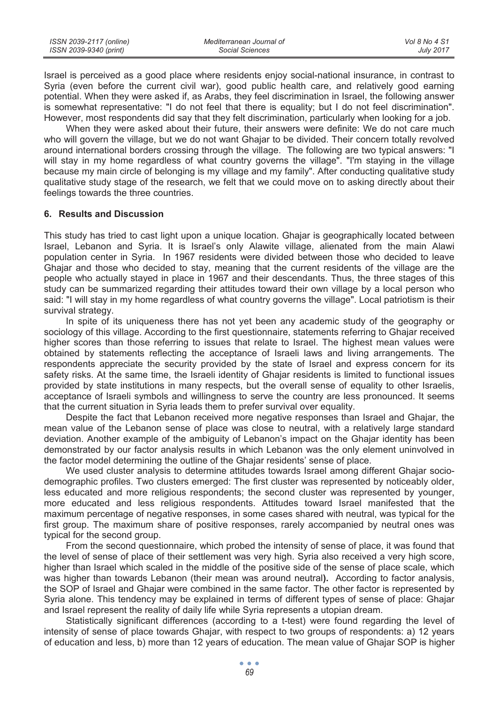| ISSN 2039-2117 (online) | Mediterranean Journal of | Vol 8 No 4 S1    |
|-------------------------|--------------------------|------------------|
| ISSN 2039-9340 (print)  | Social Sciences          | <b>July 2017</b> |

Israel is perceived as a good place where residents enjoy social-national insurance, in contrast to Syria (even before the current civil war), good public health care, and relatively good earning potential. When they were asked if, as Arabs, they feel discrimination in Israel, the following answer is somewhat representative: "I do not feel that there is equality; but I do not feel discrimination". However, most respondents did say that they felt discrimination, particularly when looking for a job.

When they were asked about their future, their answers were definite: We do not care much who will govern the village, but we do not want Ghajar to be divided. Their concern totally revolved around international borders crossing through the village. The following are two typical answers: "I will stay in my home regardless of what country governs the village". "I'm staying in the village because my main circle of belonging is my village and my family". After conducting qualitative study qualitative study stage of the research, we felt that we could move on to asking directly about their feelings towards the three countries.

#### **6. Results and Discussion**

This study has tried to cast light upon a unique location. Ghajar is geographically located between Israel, Lebanon and Syria. It is Israel's only Alawite village, alienated from the main Alawi population center in Syria. In 1967 residents were divided between those who decided to leave Ghajar and those who decided to stay, meaning that the current residents of the village are the people who actually stayed in place in 1967 and their descendants. Thus, the three stages of this study can be summarized regarding their attitudes toward their own village by a local person who said: "I will stay in my home regardless of what country governs the village". Local patriotism is their survival strategy.

In spite of its uniqueness there has not yet been any academic study of the geography or sociology of this village. According to the first questionnaire, statements referring to Ghajar received higher scores than those referring to issues that relate to Israel. The highest mean values were obtained by statements reflecting the acceptance of Israeli laws and living arrangements. The respondents appreciate the security provided by the state of Israel and express concern for its safety risks. At the same time, the Israeli identity of Ghajar residents is limited to functional issues provided by state institutions in many respects, but the overall sense of equality to other Israelis, acceptance of Israeli symbols and willingness to serve the country are less pronounced. It seems that the current situation in Syria leads them to prefer survival over equality.

Despite the fact that Lebanon received more negative responses than Israel and Ghajar, the mean value of the Lebanon sense of place was close to neutral, with a relatively large standard deviation. Another example of the ambiguity of Lebanon's impact on the Ghajar identity has been demonstrated by our factor analysis results in which Lebanon was the only element uninvolved in the factor model determining the outline of the Ghajar residents' sense of place.

We used cluster analysis to determine attitudes towards Israel among different Ghajar sociodemographic profiles. Two clusters emerged: The first cluster was represented by noticeably older, less educated and more religious respondents; the second cluster was represented by younger, more educated and less religious respondents. Attitudes toward Israel manifested that the maximum percentage of negative responses, in some cases shared with neutral, was typical for the first group. The maximum share of positive responses, rarely accompanied by neutral ones was typical for the second group.

From the second questionnaire, which probed the intensity of sense of place, it was found that the level of sense of place of their settlement was very high. Syria also received a very high score, higher than Israel which scaled in the middle of the positive side of the sense of place scale, which was higher than towards Lebanon (their mean was around neutral**).** According to factor analysis, the SOP of Israel and Ghajar were combined in the same factor. The other factor is represented by Syria alone. This tendency may be explained in terms of different types of sense of place: Ghajar and Israel represent the reality of daily life while Syria represents a utopian dream.

Statistically significant differences (according to a t-test) were found regarding the level of intensity of sense of place towards Ghajar, with respect to two groups of respondents: a) 12 years of education and less, b) more than 12 years of education. The mean value of Ghajar SOP is higher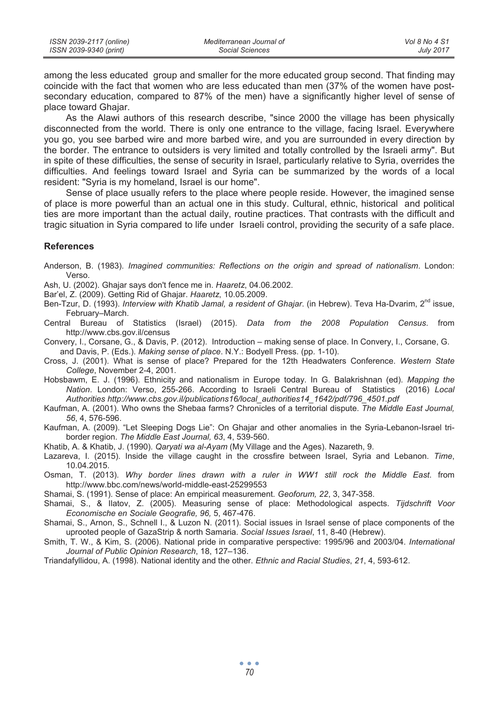| ISSN 2039-2117 (online) | Mediterranean Journal of | Vol 8 No 4 S1    |
|-------------------------|--------------------------|------------------|
| ISSN 2039-9340 (print)  | Social Sciences          | <b>July 2017</b> |

among the less educated group and smaller for the more educated group second. That finding may coincide with the fact that women who are less educated than men (37% of the women have postsecondary education, compared to 87% of the men) have a significantly higher level of sense of place toward Ghajar.

As the Alawi authors of this research describe, "since 2000 the village has been physically disconnected from the world. There is only one entrance to the village, facing Israel. Everywhere you go, you see barbed wire and more barbed wire, and you are surrounded in every direction by the border. The entrance to outsiders is very limited and totally controlled by the Israeli army". But in spite of these difficulties, the sense of security in Israel, particularly relative to Syria, overrides the difficulties. And feelings toward Israel and Syria can be summarized by the words of a local resident: "Syria is my homeland, Israel is our home".

Sense of place usually refers to the place where people reside. However, the imagined sense of place is more powerful than an actual one in this study. Cultural, ethnic, historical and political ties are more important than the actual daily, routine practices. That contrasts with the difficult and tragic situation in Syria compared to life under Israeli control, providing the security of a safe place.

#### **References**

Anderson, B. (1983). *Imagined communities: Reflections on the origin and spread of nationalism*. London: Verso.

Ash, U. (2002). Ghajar says don't fence me in. *Haaretz*, 04.06.2002.

Bar'el, Z. (2009). Getting Rid of Ghajar. *Haaretz*, 10.05.2009.

Ben-Tzur, D. (1993). *Interview with Khatib Jamal, a resident of Ghajar*. (in Hebrew). Teva Ha-Dvarim, 2nd issue, February–March.

- Central Bureau of Statistics (Israel) (2015). *Data from the 2008 Population Census*. from http://www.cbs.gov.il/census
- Convery, I., Corsane, G., & Davis, P. (2012). Introduction making sense of place. In Convery, I., Corsane, G. and Davis, P. (Eds.). *Making sense of place*. N.Y.: Bodyell Press. (pp. 1-10).

Cross, J. (2001). What is sense of place? Prepared for the 12th Headwaters Conference. *Western State College*, November 2-4, 2001.

- Hobsbawm, E. J. (1996). Ethnicity and nationalism in Europe today. In G. Balakrishnan (ed). *Mapping the Nation*. London: Verso, 255-266. According to Israeli Central Bureau of Statistics (2016) *Local Authorities http://www.cbs.gov.il/publications16/local\_authorities14\_1642/pdf/796\_4501.pdf*
- Kaufman, A. (2001). Who owns the Shebaa farms? Chronicles of a territorial dispute. *The Middle East Journal, 56*, 4, 576-596.
- Kaufman, A. (2009). "Let Sleeping Dogs Lie": On Ghajar and other anomalies in the Syria-Lebanon-Israel triborder region. *The Middle East Journal, 63*, 4, 539-560.
- Khatib, A. & Khatib, J. (1990). *Qaryati wa al-Ayam* (My Village and the Ages). Nazareth, 9.
- Lazareva, I. (2015). Inside the village caught in the crossfire between Israel, Syria and Lebanon. *Time*, 10.04.2015.
- Osman, T. (2013). *Why border lines drawn with a ruler in WW1 still rock the Middle East*. from http://www.bbc.com/news/world-middle-east-25299553

Shamai, S. (1991). Sense of place: An empirical measurement. *Geoforum, 22*, 3, 347-358.

- Shamai, S., & Ilatov, Z. (2005). Measuring sense of place: Methodological aspects. *Tijdschrift Voor Economische en Sociale Geografie, 96,* 5, 467-476.
- Shamai, S., Arnon, S., Schnell I., & Luzon N. (2011). Social issues in Israel sense of place components of the uprooted people of GazaStrip & north Samaria. *Social Issues Israel*, 11, 8-40 (Hebrew).
- Smith, T. W., & Kim, S. (2006). National pride in comparative perspective: 1995/96 and 2003/04. *International Journal of Public Opinion Research*, 18, 127–136.
- Triandafyllidou, A. (1998). National identity and the other. *Ethnic and Racial Studies*, *21*, 4, 593-612.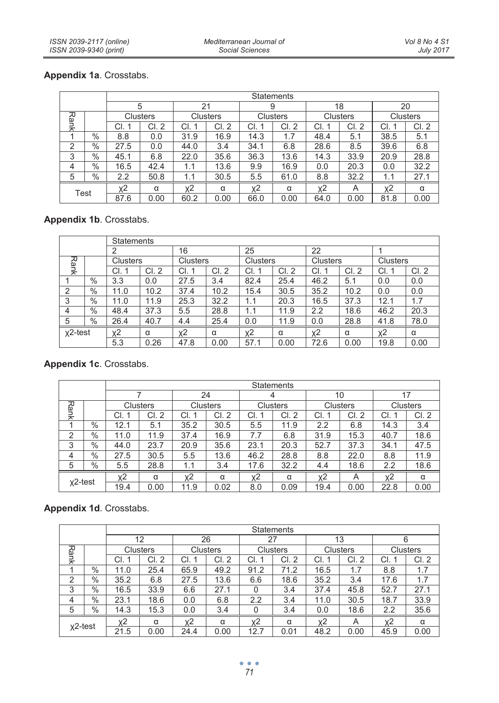# **Appendix 1a**. Crosstabs.

|                |               |      | <b>Statements</b>     |      |                       |       |          |       |                       |          |       |  |  |  |
|----------------|---------------|------|-----------------------|------|-----------------------|-------|----------|-------|-----------------------|----------|-------|--|--|--|
|                |               |      | 5                     | 21   |                       |       | 9        |       | 18                    |          | 20    |  |  |  |
| Rank           |               |      | Clusters              |      | <b>Clusters</b>       |       | Clusters |       | Clusters              | Clusters |       |  |  |  |
|                |               | CI.  | CI.<br>$\overline{2}$ | СI   | CI.<br>$\overline{2}$ | СI    | CI.2     | CI.   | CI.<br>$\overline{2}$ | CI.      | CI. 2 |  |  |  |
|                | $\%$          | 8.8  | 0.0                   | 31.9 | 16.9                  | 14.3  | 1.7      | 48.4  | 5.1                   | 38.5     | 5.1   |  |  |  |
| $\overline{2}$ | $\frac{0}{0}$ | 27.5 | 0.0                   | 44.0 | 3.4                   | 34.1  | 6.8      | 28.6  | 8.5                   | 39.6     | 6.8   |  |  |  |
| 3              | $\%$          | 45.1 | 6.8                   | 22.0 | 35.6                  | 36.3  | 13.6     | 14.3  | 33.9                  | 20.9     | 28.8  |  |  |  |
| 4              | $\%$          | 16.5 | 42.4                  | 1.1  | 13.6                  | 9.9   | 16.9     | 0.0   | 20.3                  | 0.0      | 32.2  |  |  |  |
| 5              | $\%$          | 2.2  | 50.8                  | 1.1  | 30.5                  | 5.5   | 61.0     | 8.8   | 32.2                  | 1.1      | 27.1  |  |  |  |
| Test           |               | χ2   | α                     | χ2   | α                     | $x^2$ | α        | $x^2$ | Α                     | $x^2$    | α     |  |  |  |
|                |               | 87.6 | 0.00                  | 60.2 | 0.00                  | 66.0  | 0.00     | 64.0  | 0.00                  | 81.8     | 0.00  |  |  |  |

# **Appendix 1b**. Crosstabs.

|                |      | Statements |       |          |      |          |      |          |      |          |      |  |
|----------------|------|------------|-------|----------|------|----------|------|----------|------|----------|------|--|
|                |      | 2          |       | 16       |      | 25       |      |          | 22   |          |      |  |
| Rank           |      | Clusters   |       | Clusters |      | Clusters |      | Clusters |      | Clusters |      |  |
|                |      | CI.        | Cl. 2 | CI.      | CI.2 | CI.      | CI.2 | CI.      | CI.2 | CI.      | CI.2 |  |
|                | $\%$ | 3.3        | 0.0   | 27.5     | 3.4  | 82.4     | 25.4 | 46.2     | 5.1  | 0.0      | 0.0  |  |
| $\overline{2}$ | $\%$ | 11.0       | 10.2  | 37.4     | 10.2 | 15.4     | 30.5 | 35.2     | 10.2 | 0.0      | 0.0  |  |
| 3              | $\%$ | 11.0       | 11.9  | 25.3     | 32.2 | 1.1      | 20.3 | 16.5     | 37.3 | 12.1     | 1.7  |  |
| 4              | $\%$ | 48.4       | 37.3  | 5.5      | 28.8 | 1.1      | 11.9 | 2.2      | 18.6 | 46.2     | 20.3 |  |
| 5              | $\%$ | 26.4       | 40.7  | 4.4      | 25.4 | 0.0      | 11.9 | 0.0      | 28.8 | 41.8     | 78.0 |  |
| $x^2$ -test    |      | $x^2$      | α     | $x^2$    | α    | χ2       | α    | χ2       | α    | χ2       | α    |  |
|                |      | 5.3        | 0.26  | 47.8     | 0.00 | 57.7     | 0.00 | 72.6     | 0.00 | 19.8     | 0.00 |  |

# **Appendix 1c**. Crosstabs.

|             |      |      |          |          |       | Statements |       |          |       |          |      |  |  |
|-------------|------|------|----------|----------|-------|------------|-------|----------|-------|----------|------|--|--|
|             |      |      |          |          | 24    |            | 4     |          | 10    |          | 17   |  |  |
|             |      |      | Clusters | Clusters |       | Clusters   |       | Clusters |       | Clusters |      |  |  |
| Rank        |      | CI.  | CI. 2    | CI.      | Cl. 2 | CI.        | CI. 2 | CI.      | CI. 2 | CI.      | CI.2 |  |  |
|             | $\%$ | 12.1 | 5.1      | 35.2     | 30.5  | 5.5        | 11.9  | 2.2      | 6.8   | 14.3     | 3.4  |  |  |
| 2           | $\%$ | 11.0 | 11.9     | 37.4     | 16.9  | 7.7        | 6.8   | 31.9     | 15.3  | 40.7     | 18.6 |  |  |
| 3           | $\%$ | 44.0 | 23.7     | 20.9     | 35.6  | 23.1       | 20.3  | 52.7     | 37.3  | 34.1     | 47.5 |  |  |
| 4           | $\%$ | 27.5 | 30.5     | 5.5      | 13.6  | 46.2       | 28.8  | 8.8      | 22.0  | 8.8      | 11.9 |  |  |
| 5           | $\%$ | 5.5  | 28.8     | 1.1      | 3.4   | 17.6       | 32.2  | 4.4      | 18.6  | 2.2      | 18.6 |  |  |
| $x^2$ -test |      | χ2   | α        | χ2       | α     | χ2         | α     | $x^2$    | Α     | $x^2$    | α    |  |  |
|             |      | 19.4 | 0.00     | 11.9     | 0.02  | 8.0        | 0.09  | 19.4     | 0.00  | 22.8     | 0.00 |  |  |

# **Appendix 1d**. Crosstabs.

|                |      | <b>Statements</b> |                       |          |          |      |                       |          |                       |          |       |  |
|----------------|------|-------------------|-----------------------|----------|----------|------|-----------------------|----------|-----------------------|----------|-------|--|
|                |      |                   | 12                    | 26<br>27 |          |      |                       |          | 13                    | 6        |       |  |
| Rank           |      |                   | Clusters              |          | Clusters |      | Clusters              | Clusters |                       | Clusters |       |  |
|                |      | CI.               | CI.<br>$\overline{2}$ | CI.      | CI. 2    | CI.  | CI.<br>$\overline{2}$ | CI.      | CI.<br>$\overline{2}$ | CI.      | Cl. 2 |  |
|                | $\%$ | 11.0              | 25.4                  | 65.9     | 49.2     | 91.2 | 71.2                  | 16.5     | 1.7                   | 8.8      | 1.7   |  |
| $\overline{2}$ | $\%$ | 35.2              | 6.8                   | 27.5     | 13.6     | 6.6  | 18.6                  | 35.2     | 3.4                   | 17.6     | 1.7   |  |
| 3              | $\%$ | 16.5              | 33.9                  | 6.6      | 27.1     | 0    | 3.4                   | 37.4     | 45.8                  | 52.7     | 27.1  |  |
| 4              | $\%$ | 23.1              | 18.6                  | 0.0      | 6.8      | 2.2  | 3.4                   | 11.0     | 30.5                  | 18.7     | 33.9  |  |
| 5              | $\%$ | 14.3              | 15.3                  | 0.0      | 3.4      | 0    | 3.4                   | 0.0      | 18.6                  | 2.2      | 35.6  |  |
| $x^2$ -test    |      | χ2                | α                     | $x^2$    | α        | χ2   | α                     | $x^2$    | A                     | x2       | α     |  |
|                |      | 21.5              | 0.00                  | 24.4     | 0.00     | 12.7 | 0.01                  | 48.2     | 0.00                  | 45.9     | 0.00  |  |